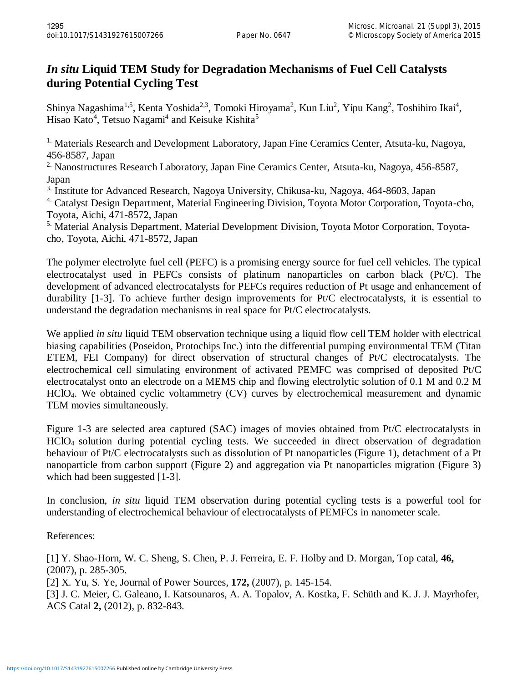## *In situ* **Liquid TEM Study for Degradation Mechanisms of Fuel Cell Catalysts during Potential Cycling Test**

Shinya Nagashima<sup>1,5</sup>, Kenta Yoshida<sup>2,3</sup>, Tomoki Hiroyama<sup>2</sup>, Kun Liu<sup>2</sup>, Yipu Kang<sup>2</sup>, Toshihiro Ikai<sup>4</sup>, Hisao Kato<sup>4</sup>, Tetsuo Nagami<sup>4</sup> and Keisuke Kishita<sup>5</sup>

<sup>1.</sup> Materials Research and Development Laboratory, Japan Fine Ceramics Center, Atsuta-ku, Nagoya, 456-8587, Japan

<sup>2.</sup> Nanostructures Research Laboratory, Japan Fine Ceramics Center, Atsuta-ku, Nagoya, 456-8587, Japan

<sup>3.</sup> Institute for Advanced Research, Nagoya University, Chikusa-ku, Nagoya, 464-8603, Japan

<sup>4.</sup> Catalyst Design Department, Material Engineering Division, Toyota Motor Corporation, Toyota-cho, Toyota, Aichi, 471-8572, Japan

5. Material Analysis Department, Material Development Division, Toyota Motor Corporation, Toyotacho, Toyota, Aichi, 471-8572, Japan

The polymer electrolyte fuel cell (PEFC) is a promising energy source for fuel cell vehicles. The typical electrocatalyst used in PEFCs consists of platinum nanoparticles on carbon black (Pt/C). The development of advanced electrocatalysts for PEFCs requires reduction of Pt usage and enhancement of durability [1-3]. To achieve further design improvements for Pt/C electrocatalysts, it is essential to understand the degradation mechanisms in real space for Pt/C electrocatalysts.

We applied *in situ* liquid TEM observation technique using a liquid flow cell TEM holder with electrical biasing capabilities (Poseidon, Protochips Inc.) into the differential pumping environmental TEM (Titan ETEM, FEI Company) for direct observation of structural changes of Pt/C electrocatalysts. The electrochemical cell simulating environment of activated PEMFC was comprised of deposited Pt/C electrocatalyst onto an electrode on a MEMS chip and flowing electrolytic solution of 0.1 M and 0.2 M HClO4. We obtained cyclic voltammetry (CV) curves by electrochemical measurement and dynamic TEM movies simultaneously.

Figure 1-3 are selected area captured (SAC) images of movies obtained from Pt/C electrocatalysts in HClO4 solution during potential cycling tests. We succeeded in direct observation of degradation behaviour of Pt/C electrocatalysts such as dissolution of Pt nanoparticles (Figure 1), detachment of a Pt nanoparticle from carbon support (Figure 2) and aggregation via Pt nanoparticles migration (Figure 3) which had been suggested [1-3].

In conclusion, *in situ* liquid TEM observation during potential cycling tests is a powerful tool for understanding of electrochemical behaviour of electrocatalysts of PEMFCs in nanometer scale.

References:

[1] Y. Shao-Horn, W. C. Sheng, S. Chen, P. J. Ferreira, E. F. Holby and D. Morgan, Top catal, **46,** (2007), p. 285-305. [2] X. Yu, S. Ye, Journal of Power Sources, **172,** (2007), p. 145-154. [3] J. C. Meier, C. Galeano, I. Katsounaros, A. A. Topalov, A. Kostka, F. Schüth and K. J. J. Mayrhofer, ACS Catal **2,** (2012), p. 832-843.